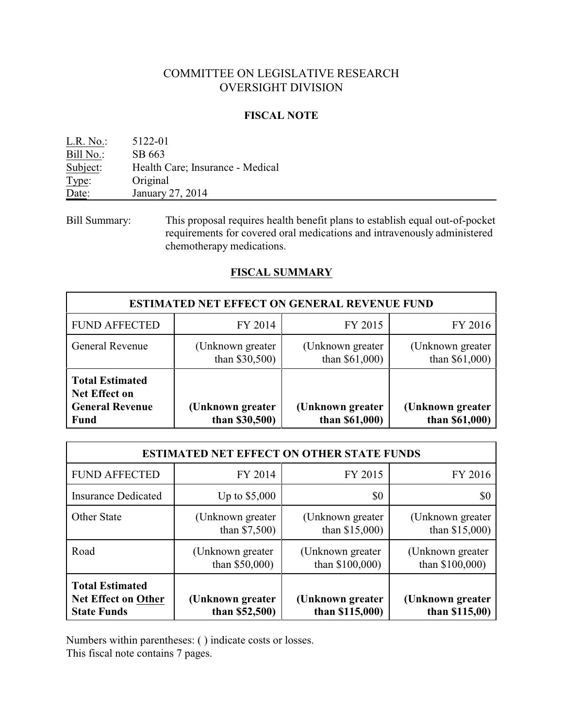## COMMITTEE ON LEGISLATIVE RESEARCH OVERSIGHT DIVISION

#### **FISCAL NOTE**

| L.R. No.  | 5122-01                          |
|-----------|----------------------------------|
| Bill No.: | SB 663                           |
| Subject:  | Health Care; Insurance - Medical |
| Type:     | Original                         |
| Date:     | January 27, 2014                 |
|           |                                  |

Bill Summary: This proposal requires health benefit plans to establish equal out-of-pocket requirements for covered oral medications and intravenously administered chemotherapy medications.

### **FISCAL SUMMARY**

| <b>ESTIMATED NET EFFECT ON GENERAL REVENUE FUND</b>                                     |                                       |                                       |                                     |  |  |
|-----------------------------------------------------------------------------------------|---------------------------------------|---------------------------------------|-------------------------------------|--|--|
| <b>FUND AFFECTED</b>                                                                    | FY 2014                               | FY 2015                               | FY 2016                             |  |  |
| <b>General Revenue</b>                                                                  | (Unknown greater<br>than $$30,500$    | (Unknown greater)<br>than $$61,000$ ) | (Unknown greater)<br>than \$61,000) |  |  |
| <b>Total Estimated</b><br><b>Net Effect on</b><br><b>General Revenue</b><br><b>Fund</b> | (Unknown greater)<br>than $$30,500$ ) | (Unknown greater<br>than \$61,000)    | (Unknown greater<br>than \$61,000)  |  |  |

| <b>ESTIMATED NET EFFECT ON OTHER STATE FUNDS</b>                           |                                       |                                       |                                       |  |  |
|----------------------------------------------------------------------------|---------------------------------------|---------------------------------------|---------------------------------------|--|--|
| <b>FUND AFFECTED</b>                                                       | FY 2014                               | FY 2015                               | FY 2016                               |  |  |
| <b>Insurance Dedicated</b>                                                 | Up to $$5,000$                        | \$0                                   | \$0                                   |  |  |
| <b>Other State</b>                                                         | (Unknown greater)<br>than $$7,500$    | (Unknown greater)<br>than $$15,000$ ) | (Unknown greater)<br>than $$15,000$ ) |  |  |
| Road                                                                       | (Unknown greater)<br>than $$50,000$ ) | (Unknown greater)<br>than \$100,000)  | (Unknown greater)<br>than \$100,000)  |  |  |
| <b>Total Estimated</b><br><b>Net Effect on Other</b><br><b>State Funds</b> | (Unknown greater<br>than $$52,500$ )  | (Unknown greater<br>than $$115,000$ ) | (Unknown greater<br>than $$115,00$ )  |  |  |

Numbers within parentheses: ( ) indicate costs or losses.

This fiscal note contains 7 pages.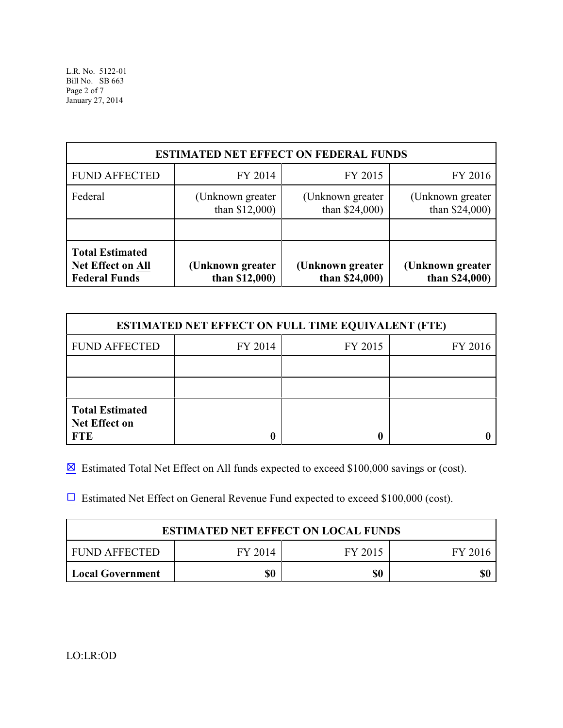| <b>ESTIMATED NET EFFECT ON FEDERAL FUNDS</b>                               |                                       |                                       |                                       |  |  |
|----------------------------------------------------------------------------|---------------------------------------|---------------------------------------|---------------------------------------|--|--|
| <b>FUND AFFECTED</b>                                                       | FY 2014                               | FY 2015                               | FY 2016                               |  |  |
| Federal                                                                    | (Unknown greater)<br>than $$12,000$ ) | (Unknown greater)<br>than $$24,000$ ) | (Unknown greater)<br>than $$24,000$ ) |  |  |
|                                                                            |                                       |                                       |                                       |  |  |
| <b>Total Estimated</b><br><b>Net Effect on All</b><br><b>Federal Funds</b> | (Unknown greater)<br>than \$12,000)   | (Unknown greater<br>than \$24,000)    | (Unknown greater<br>than \$24,000)    |  |  |

| <b>ESTIMATED NET EFFECT ON FULL TIME EQUIVALENT (FTE)</b>    |         |         |         |  |  |
|--------------------------------------------------------------|---------|---------|---------|--|--|
| <b>FUND AFFECTED</b>                                         | FY 2014 | FY 2015 | FY 2016 |  |  |
|                                                              |         |         |         |  |  |
|                                                              |         |         |         |  |  |
| <b>Total Estimated</b><br><b>Net Effect on</b><br><b>FTE</b> |         | O       |         |  |  |

 $\boxtimes$  Estimated Total Net Effect on All funds expected to exceed \$100,000 savings or (cost).

 $\Box$  Estimated Net Effect on General Revenue Fund expected to exceed \$100,000 (cost).

| <b>ESTIMATED NET EFFECT ON LOCAL FUNDS</b> |         |         |              |  |  |
|--------------------------------------------|---------|---------|--------------|--|--|
| <b>FUND AFFECTED</b>                       | FY 2014 | FY 2015 | <b>FY 20</b> |  |  |
| Local Government                           | 50      | \$0     | \$0          |  |  |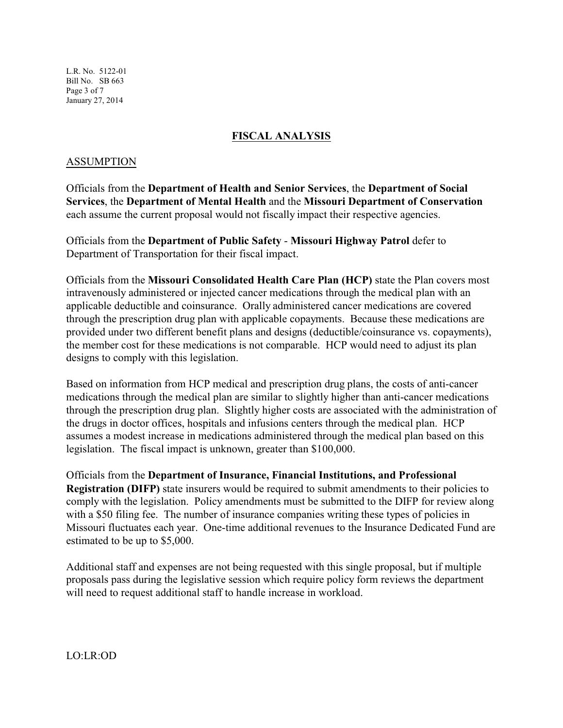L.R. No. 5122-01 Bill No. SB 663 Page 3 of 7 January 27, 2014

## **FISCAL ANALYSIS**

#### ASSUMPTION

Officials from the **Department of Health and Senior Services**, the **Department of Social Services**, the **Department of Mental Health** and the **Missouri Department of Conservation** each assume the current proposal would not fiscally impact their respective agencies.

Officials from the **Department of Public Safety** - **Missouri Highway Patrol** defer to Department of Transportation for their fiscal impact.

Officials from the **Missouri Consolidated Health Care Plan (HCP)** state the Plan covers most intravenously administered or injected cancer medications through the medical plan with an applicable deductible and coinsurance. Orally administered cancer medications are covered through the prescription drug plan with applicable copayments. Because these medications are provided under two different benefit plans and designs (deductible/coinsurance vs. copayments), the member cost for these medications is not comparable. HCP would need to adjust its plan designs to comply with this legislation.

Based on information from HCP medical and prescription drug plans, the costs of anti-cancer medications through the medical plan are similar to slightly higher than anti-cancer medications through the prescription drug plan. Slightly higher costs are associated with the administration of the drugs in doctor offices, hospitals and infusions centers through the medical plan. HCP assumes a modest increase in medications administered through the medical plan based on this legislation. The fiscal impact is unknown, greater than \$100,000.

Officials from the **Department of Insurance, Financial Institutions, and Professional Registration (DIFP)** state insurers would be required to submit amendments to their policies to comply with the legislation. Policy amendments must be submitted to the DIFP for review along with a \$50 filing fee. The number of insurance companies writing these types of policies in Missouri fluctuates each year. One-time additional revenues to the Insurance Dedicated Fund are estimated to be up to \$5,000.

Additional staff and expenses are not being requested with this single proposal, but if multiple proposals pass during the legislative session which require policy form reviews the department will need to request additional staff to handle increase in workload.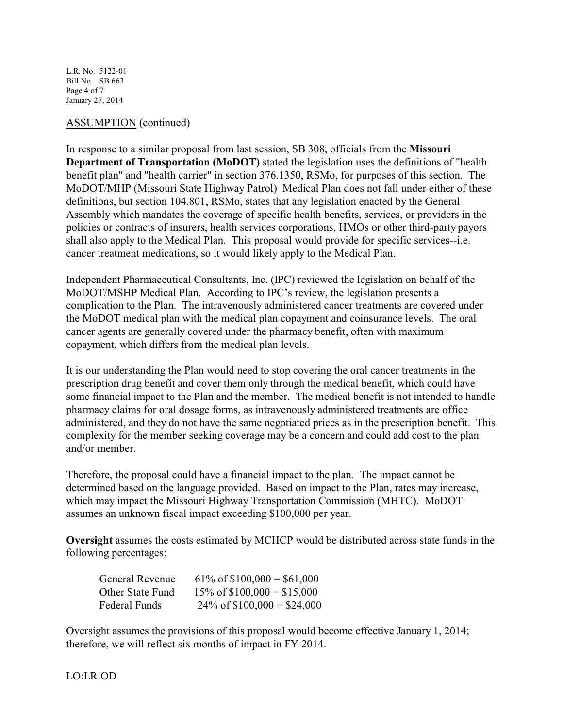L.R. No. 5122-01 Bill No. SB 663 Page 4 of 7 January 27, 2014

#### ASSUMPTION (continued)

In response to a similar proposal from last session, SB 308, officials from the **Missouri Department of Transportation (MoDOT)** stated the legislation uses the definitions of "health benefit plan" and "health carrier" in section 376.1350, RSMo, for purposes of this section. The MoDOT/MHP (Missouri State Highway Patrol) Medical Plan does not fall under either of these definitions, but section 104.801, RSMo, states that any legislation enacted by the General Assembly which mandates the coverage of specific health benefits, services, or providers in the policies or contracts of insurers, health services corporations, HMOs or other third-party payors shall also apply to the Medical Plan. This proposal would provide for specific services--i.e. cancer treatment medications, so it would likely apply to the Medical Plan.

Independent Pharmaceutical Consultants, Inc. (IPC) reviewed the legislation on behalf of the MoDOT/MSHP Medical Plan. According to IPC's review, the legislation presents a complication to the Plan. The intravenously administered cancer treatments are covered under the MoDOT medical plan with the medical plan copayment and coinsurance levels. The oral cancer agents are generally covered under the pharmacy benefit, often with maximum copayment, which differs from the medical plan levels.

It is our understanding the Plan would need to stop covering the oral cancer treatments in the prescription drug benefit and cover them only through the medical benefit, which could have some financial impact to the Plan and the member. The medical benefit is not intended to handle pharmacy claims for oral dosage forms, as intravenously administered treatments are office administered, and they do not have the same negotiated prices as in the prescription benefit. This complexity for the member seeking coverage may be a concern and could add cost to the plan and/or member.

Therefore, the proposal could have a financial impact to the plan. The impact cannot be determined based on the language provided. Based on impact to the Plan, rates may increase, which may impact the Missouri Highway Transportation Commission (MHTC). MoDOT assumes an unknown fiscal impact exceeding \$100,000 per year.

**Oversight** assumes the costs estimated by MCHCP would be distributed across state funds in the following percentages:

| <b>General Revenue</b> | $61\% \text{ of } $100,000 = $61,000$ |
|------------------------|---------------------------------------|
| Other State Fund       | $15\% \text{ of } $100,000 = $15,000$ |
| Federal Funds          | $24\% \text{ of } $100,000 = $24,000$ |

Oversight assumes the provisions of this proposal would become effective January 1, 2014; therefore, we will reflect six months of impact in FY 2014.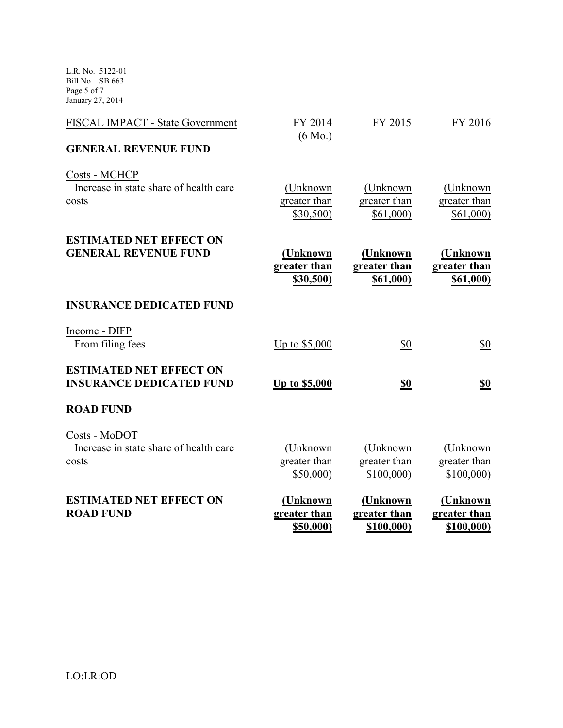L.R. No. 5122-01 Bill No. SB 663 Page 5 of 7 January 27, 2014

| <b>ESTIMATED NET EFFECT ON</b><br><b>ROAD FUND</b>                | (Unknown<br>greater than<br><u>\$50,000)</u> | (Unknown<br>greater than<br>\$100,000) | (Unknown<br>greater than<br><u>\$100,000)</u> |
|-------------------------------------------------------------------|----------------------------------------------|----------------------------------------|-----------------------------------------------|
| Costs - MoDOT<br>Increase in state share of health care<br>costs  | (Unknown<br>greater than<br>\$50,000         | (Unknown<br>greater than<br>\$100,000  | (Unknown<br>greater than<br>\$100,000)        |
| <b>ROAD FUND</b>                                                  |                                              |                                        |                                               |
| <b>ESTIMATED NET EFFECT ON</b><br><b>INSURANCE DEDICATED FUND</b> | <u>Up to \$5,000</u>                         | <u>\$0</u>                             | <u>\$0</u>                                    |
| Income - DIFP<br>From filing fees                                 | Up to \$5,000                                | \$0                                    | \$0                                           |
| <b>INSURANCE DEDICATED FUND</b>                                   |                                              |                                        |                                               |
| <b>ESTIMATED NET EFFECT ON</b><br><b>GENERAL REVENUE FUND</b>     | (Unknown<br>greater than<br>\$30,500)        | (Unknown<br>greater than<br>\$61,000)  | <u>(Unknown</u><br>greater than<br>\$61,000)  |
| Costs - MCHCP<br>Increase in state share of health care<br>costs  | (Unknown<br>greater than<br>\$30,500)        | (Unknown)<br>greater than<br>\$61,000) | (Unknown)<br>greater than<br>\$61,000)        |
| <b>GENERAL REVENUE FUND</b>                                       |                                              |                                        |                                               |
| FISCAL IMPACT - State Government                                  | FY 2014<br>$(6 \text{ Mo.})$                 | FY 2015                                | FY 2016                                       |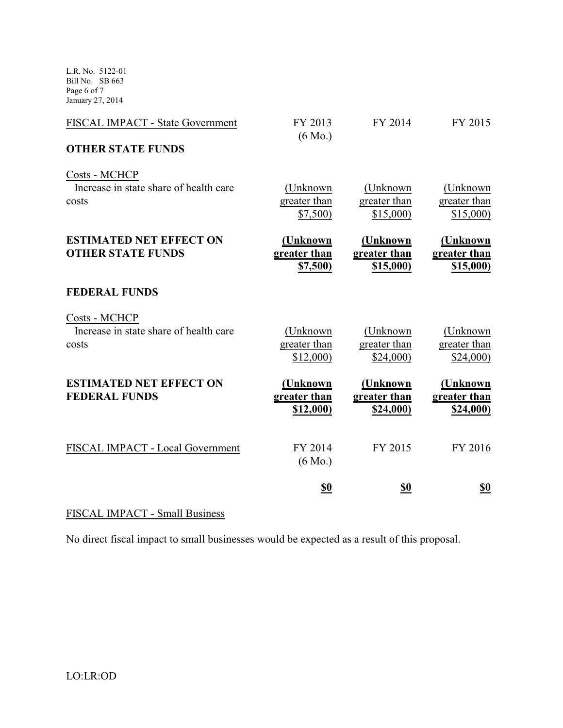L.R. No. 5122-01 Bill No. SB 663 Page 6 of 7 January 27, 2014

| FISCAL IMPACT - State Government                                 | FY 2013<br>$(6 \text{ Mo.})$          | FY 2014                               | FY 2015                                     |
|------------------------------------------------------------------|---------------------------------------|---------------------------------------|---------------------------------------------|
| <b>OTHER STATE FUNDS</b>                                         |                                       |                                       |                                             |
| Costs - MCHCP<br>Increase in state share of health care<br>costs | (Unknown<br>greater than<br>\$7,500   | (Unknown<br>greater than<br>\$15,000  | (Unknown)<br>greater than<br>\$15,000       |
| <b>ESTIMATED NET EFFECT ON</b><br><b>OTHER STATE FUNDS</b>       | (Unknown<br>greater than<br>\$7,500   | (Unknown<br>greater than<br>\$15,000  | <u>(Unknown</u><br>greater than<br>\$15,000 |
| <b>FEDERAL FUNDS</b>                                             |                                       |                                       |                                             |
| Costs - MCHCP<br>Increase in state share of health care<br>costs | (Unknown<br>greater than<br>\$12,000  | (Unknown<br>greater than<br>\$24,000  | (Unknown)<br>greater than<br>\$24,000       |
| <b>ESTIMATED NET EFFECT ON</b><br><b>FEDERAL FUNDS</b>           | (Unknown<br>greater than<br>\$12,000) | (Unknown<br>greater than<br>\$24,000) | (Unknown<br>greater than<br>\$24,000)       |
| FISCAL IMPACT - Local Government                                 | FY 2014<br>$(6 \text{ Mo.})$          | FY 2015                               | FY 2016                                     |
|                                                                  | <u>\$0</u>                            | <u>\$0</u>                            | <u>\$0</u>                                  |

# FISCAL IMPACT - Small Business

No direct fiscal impact to small businesses would be expected as a result of this proposal.